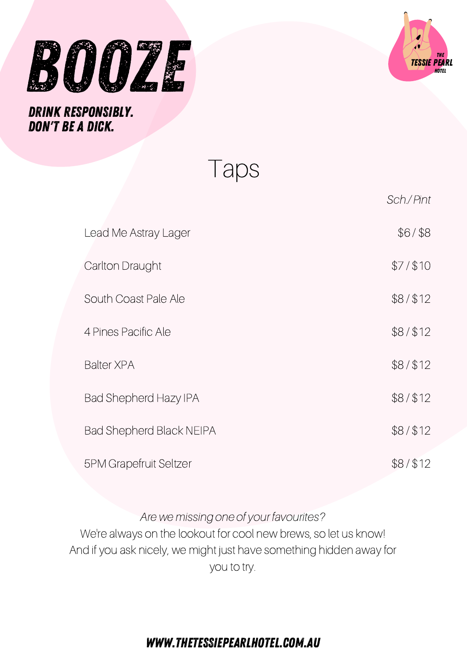



Taps

|                                 | Sch./Pint |
|---------------------------------|-----------|
| Lead Me Astray Lager            | \$6/ \$8  |
| Carlton Draught                 | \$7/\$10  |
| South Coast Pale Ale            | \$8/\$12  |
| 4 Pines Pacific Ale             | \$8/\$12  |
| <b>Balter XPA</b>               | \$8/\$12  |
| <b>Bad Shepherd Hazy IPA</b>    | \$8/\$12  |
| <b>Bad Shepherd Black NEIPA</b> | \$8/\$12  |
| <b>5PM Grapefruit Seltzer</b>   | \$8/\$12  |

#### Are we missing one of your favourites?

We're always on the lookout for cool new brews, so let us know! And if you ask nicely, we might just have something hidden away for you to try.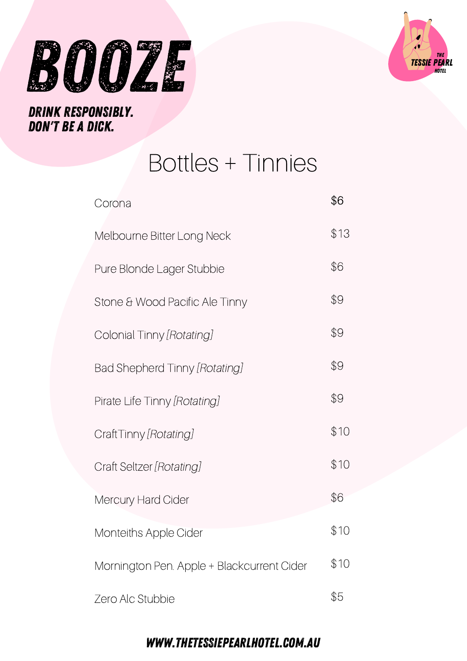



### DRINK RESPONSIBLY. DON'T BE A DICK.

| Corona                                     | \$6  |
|--------------------------------------------|------|
| Melbourne Bitter Long Neck                 | \$13 |
| Pure Blonde Lager Stubbie                  | \$6  |
| Stone & Wood Pacific Ale Tinny             | \$9  |
| Colonial Tinny [Rotating]                  | \$9  |
| Bad Shepherd Tinny [Rotating]              | \$9  |
| Pirate Life Tinny [Rotating]               | \$9  |
| CraftTinny [Rotating]                      | \$10 |
| Craft Seltzer [Rotating]                   | \$10 |
| Mercury Hard Cider                         | \$6  |
| <b>Monteiths Apple Cider</b>               | \$10 |
| Mornington Pen. Apple + Blackcurrent Cider | \$10 |
| Zero Alc Stubbie                           | \$5  |

**Bottles + Tinnies** 

### WWW.THETESSIEPEARLHOTEL.COM.AU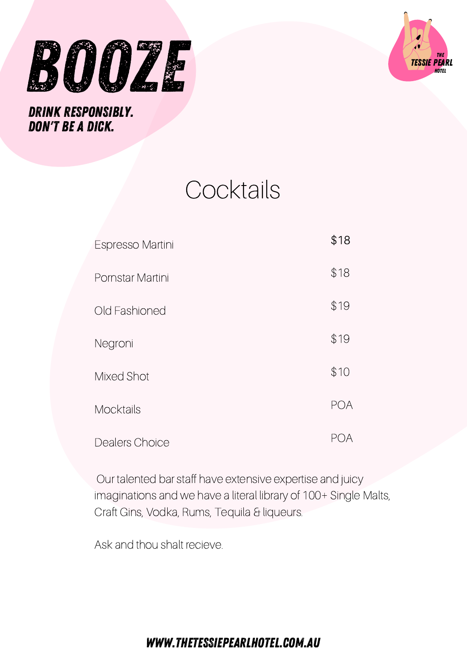



# **Cocktails**

| Espresso Martini | \$18       |
|------------------|------------|
| Pornstar Martini | \$18       |
| Old Fashioned    | \$19       |
| Negroni          | \$19       |
| Mixed Shot       | \$10       |
| <b>Mocktails</b> | <b>POA</b> |
| Dealers Choice   |            |

Our talented bar staff have extensive expertise and juicy imaginations and we have a literal library of 100+ Single Malts, Craft Gins, Vodka, Rums, Tequila & liqueurs.

Ask and thou shalt recieve.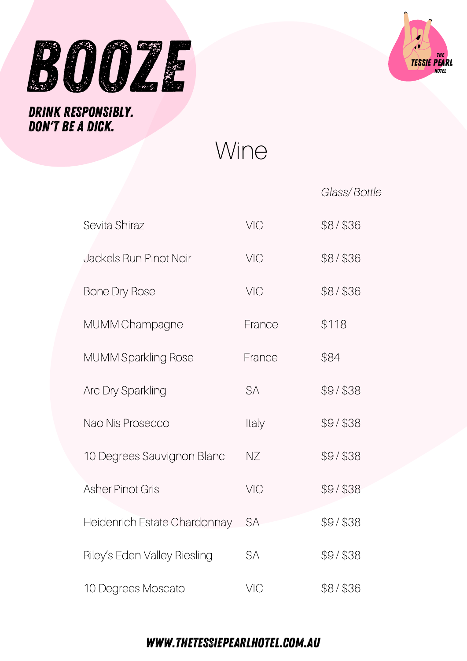



Wine

|                              |           | Glass/Bottle |
|------------------------------|-----------|--------------|
| Sevita Shiraz                | VIC       | $$8/$ \$36   |
| Jackels Run Pinot Noir       | VIC       | $$8/$ \$36   |
| <b>Bone Dry Rose</b>         | VIC       | $$8/$ \$36   |
| MUMM Champagne               | France    | \$118        |
| <b>MUMM Sparkling Rose</b>   | France    | \$84         |
| <b>Arc Dry Sparkling</b>     | <b>SA</b> | $$9/$ \$38   |
| Nao Nis Prosecco             | Italy     | $$9/$ \$38   |
| 10 Degrees Sauvignon Blanc   | NΖ        | $$9/$ \$38   |
| <b>Asher Pinot Gris</b>      | VIC       | $$9/$ \$38   |
| Heidenrich Estate Chardonnay | <b>SA</b> | $$9/$ \$38   |
| Riley's Eden Valley Riesling | <b>SA</b> | $$9/$ \$38   |
| 10 Degrees Moscato           | VIC       | $$8/$ \$36   |